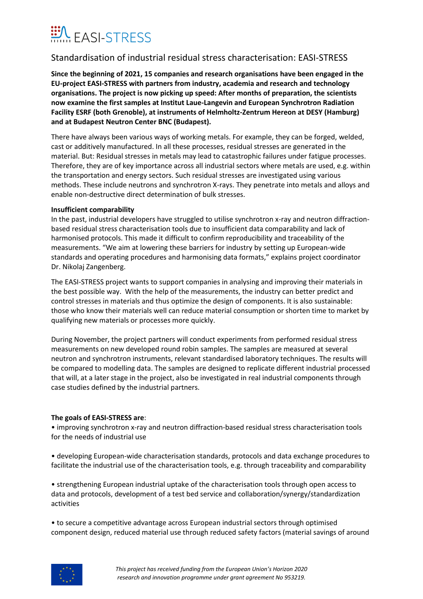

## Standardisation of industrial residual stress characterisation: EASI-STRESS

**Since the beginning of 2021, 15 companies and research organisations have been engaged in the EU-project EASI-STRESS with partners from industry, academia and research and technology organisations. The project is now picking up speed: After months of preparation, the scientists now examine the first samples at Institut Laue-Langevin and European Synchrotron Radiation Facility ESRF (both Grenoble), at instruments of Helmholtz-Zentrum Hereon at DESY (Hamburg) and at Budapest Neutron Center BNC (Budapest).**

There have always been various ways of working metals. For example, they can be forged, welded, cast or additively manufactured. In all these processes, residual stresses are generated in the material. But: Residual stresses in metals may lead to catastrophic failures under fatigue processes. Therefore, they are of key importance across all industrial sectors where metals are used, e.g. within the transportation and energy sectors. Such residual stresses are investigated using various methods. These include neutrons and synchrotron X-rays. They penetrate into metals and alloys and enable non-destructive direct determination of bulk stresses.

### **Insufficient comparability**

In the past, industrial developers have struggled to utilise synchrotron x-ray and neutron diffractionbased residual stress characterisation tools due to insufficient data comparability and lack of harmonised protocols. This made it difficult to confirm reproducibility and traceability of the measurements. "We aim at lowering these barriers for industry by setting up European-wide standards and operating procedures and harmonising data formats," explains project coordinator Dr. Nikolaj Zangenberg.

The EASI-STRESS project wants to support companies in analysing and improving their materials in the best possible way. With the help of the measurements, the industry can better predict and control stresses in materials and thus optimize the design of components. It is also sustainable: those who know their materials well can reduce material consumption or shorten time to market by qualifying new materials or processes more quickly.

During November, the project partners will conduct experiments from performed residual stress measurements on new developed round robin samples. The samples are measured at several neutron and synchrotron instruments, relevant standardised laboratory techniques. The results will be compared to modelling data. The samples are designed to replicate different industrial processed that will, at a later stage in the project, also be investigated in real industrial components through case studies defined by the industrial partners.

### **The goals of EASI-STRESS are**:

• improving synchrotron x-ray and neutron diffraction-based residual stress characterisation tools for the needs of industrial use

• developing European-wide characterisation standards, protocols and data exchange procedures to facilitate the industrial use of the characterisation tools, e.g. through traceability and comparability

• strengthening European industrial uptake of the characterisation tools through open access to data and protocols, development of a test bed service and collaboration/synergy/standardization activities

• to secure a competitive advantage across European industrial sectors through optimised component design, reduced material use through reduced safety factors (material savings of around